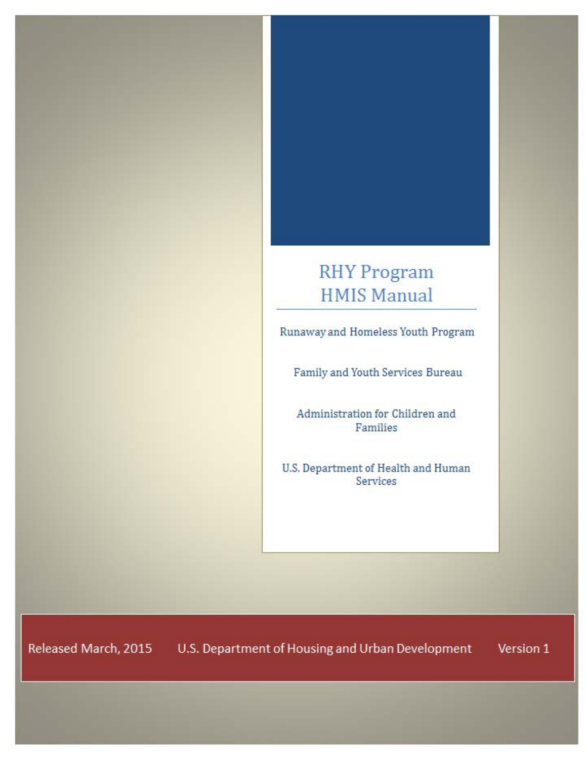# **RHY Program HMIS Manual**

Runaway and Homeless Youth Program

Family and Youth Services Bureau

Administration for Children and Families

U.S. Department of Health and Human Services

Released March, 2015 U.S. Department of Housing and Urban Development Version 1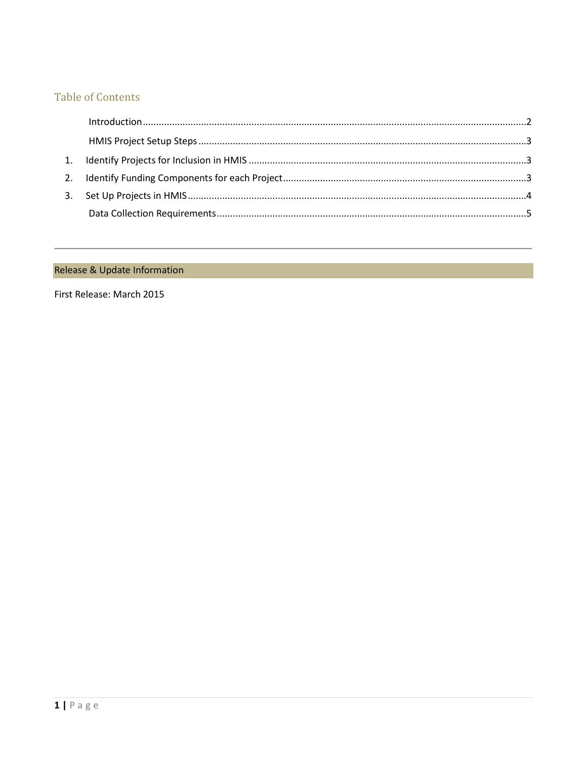# **Table of Contents**

## Release & Update Information

First Release: March 2015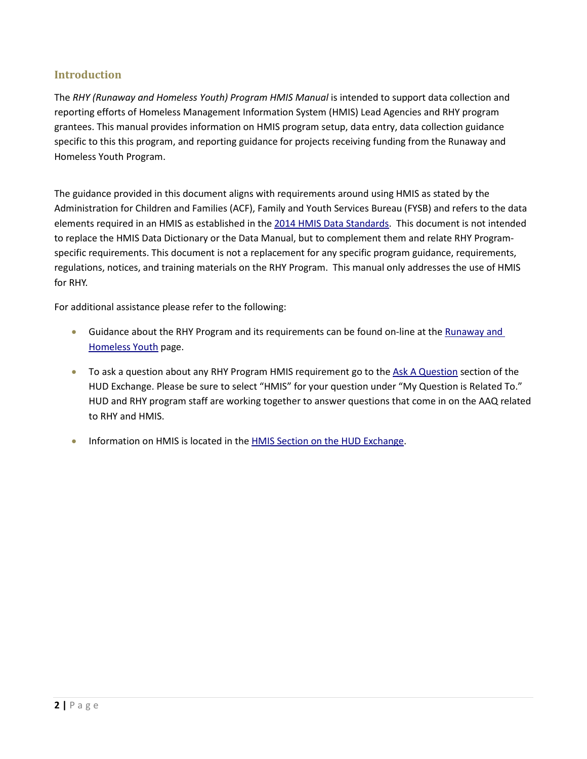## <span id="page-2-0"></span>**Introduction**

The *RHY (Runaway and Homeless Youth) Program HMIS Manual* is intended to support data collection and reporting efforts of Homeless Management Information System (HMIS) Lead Agencies and RHY program grantees. This manual provides information on HMIS program setup, data entry, data collection guidance specific to this this program, and reporting guidance for projects receiving funding from the Runaway and Homeless Youth Program.

The guidance provided in this document aligns with requirements around using HMIS as stated by the Administration for Children and Families (ACF), Family and Youth Services Bureau (FYSB) and refers to the data elements required in an HMIS as established in the [2014 HMIS Data Standards.](https://www.hudexchange.info/hmis/hmis-data-and-technical-standards/) This document is not intended to replace the HMIS Data Dictionary or the Data Manual, but to complement them and relate RHY Programspecific requirements. This document is not a replacement for any specific program guidance, requirements, regulations, notices, and training materials on the RHY Program. This manual only addresses the use of HMIS for RHY.

For additional assistance please refer to the following:

- Guidance about the RHY Program and its requirements can be found on-line at the Runaway and [Homeless Youth](http://www.acf.hhs.gov/programs/fysb/programs/runaway-homeless-youth) page.
- To ask a question about any RHY Program HMIS requirement go to the [Ask A Question](https://www.hudexchange.info/get-assistance/my-question/) section of the HUD Exchange. Please be sure to select "HMIS" for your question under "My Question is Related To." HUD and RHY program staff are working together to answer questions that come in on the AAQ related to RHY and HMIS.
- Information on HMIS is located in th[e HMIS Section on the HUD Exchange.](https://www.hudexchange.info/hmis)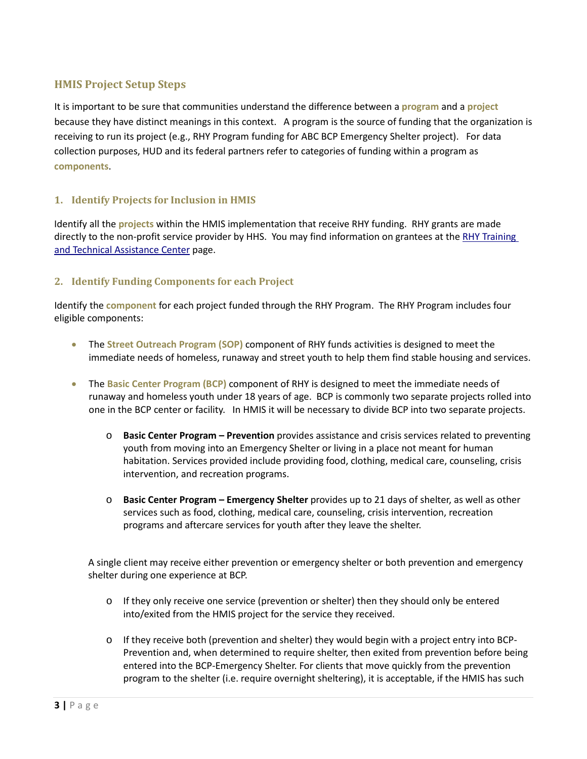### <span id="page-3-0"></span>**HMIS Project Setup Steps**

It is important to be sure that communities understand the difference between a **program** and a **project** because they have distinct meanings in this context. A program is the source of funding that the organization is receiving to run its project (e.g., RHY Program funding for ABC BCP Emergency Shelter project). For data collection purposes, HUD and its federal partners refer to categories of funding within a program as **components**.

#### <span id="page-3-1"></span>**1. Identify Projects for Inclusion in HMIS**

Identify all the **projects** within the HMIS implementation that receive RHY funding. RHY grants are made directly to the non-profit service provider by HHS. You may find information on grantees at the [RHY Training](http://www.rhyttac.net/connect/connect-other-grantees)  [and Technical Assistance Center](http://www.rhyttac.net/connect/connect-other-grantees) page.

#### <span id="page-3-2"></span>**2. Identify Funding Components for each Project**

Identify the **component** for each project funded through the RHY Program. The RHY Program includes four eligible components:

- The **Street Outreach Program (SOP)** component of RHY funds activities is designed to meet the immediate needs of homeless, runaway and street youth to help them find stable housing and services.
- The **Basic Center Program (BCP)** component of RHY is designed to meet the immediate needs of runaway and homeless youth under 18 years of age. BCP is commonly two separate projects rolled into one in the BCP center or facility. In HMIS it will be necessary to divide BCP into two separate projects.
	- o **Basic Center Program Prevention** provides assistance and crisis services related to preventing youth from moving into an Emergency Shelter or living in a place not meant for human habitation. Services provided include providing food, clothing, medical care, counseling, crisis intervention, and recreation programs.
	- o **Basic Center Program Emergency Shelter** provides up to 21 days of shelter, as well as other services such as food, clothing, medical care, counseling, crisis intervention, recreation programs and aftercare services for youth after they leave the shelter.

A single client may receive either prevention or emergency shelter or both prevention and emergency shelter during one experience at BCP.

- $\circ$  If they only receive one service (prevention or shelter) then they should only be entered into/exited from the HMIS project for the service they received.
- $\circ$  If they receive both (prevention and shelter) they would begin with a project entry into BCP-Prevention and, when determined to require shelter, then exited from prevention before being entered into the BCP-Emergency Shelter. For clients that move quickly from the prevention program to the shelter (i.e. require overnight sheltering), it is acceptable, if the HMIS has such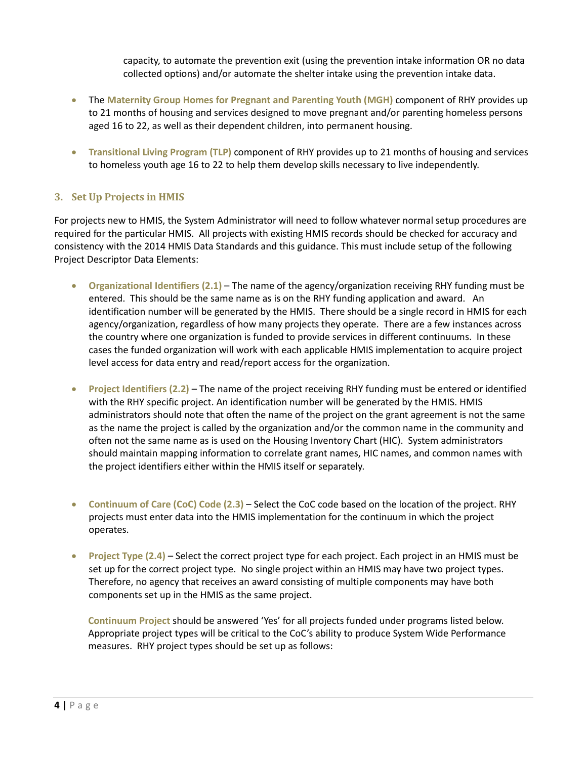capacity, to automate the prevention exit (using the prevention intake information OR no data collected options) and/or automate the shelter intake using the prevention intake data.

- The **Maternity Group Homes for Pregnant and Parenting Youth (MGH)** component of RHY provides up to 21 months of housing and services designed to move pregnant and/or parenting homeless persons aged 16 to 22, as well as their dependent children, into permanent housing.
- **Transitional Living Program (TLP)** component of RHY provides up to 21 months of housing and services to homeless youth age 16 to 22 to help them develop skills necessary to live independently.

#### <span id="page-4-0"></span>**3. Set Up Projects in HMIS**

For projects new to HMIS, the System Administrator will need to follow whatever normal setup procedures are required for the particular HMIS. All projects with existing HMIS records should be checked for accuracy and consistency with the 2014 HMIS Data Standards and this guidance. This must include setup of the following Project Descriptor Data Elements:

- **Organizational Identifiers (2.1)** The name of the agency/organization receiving RHY funding must be entered. This should be the same name as is on the RHY funding application and award. An identification number will be generated by the HMIS. There should be a single record in HMIS for each agency/organization, regardless of how many projects they operate. There are a few instances across the country where one organization is funded to provide services in different continuums. In these cases the funded organization will work with each applicable HMIS implementation to acquire project level access for data entry and read/report access for the organization.
- **Project Identifiers (2.2)** The name of the project receiving RHY funding must be entered or identified with the RHY specific project. An identification number will be generated by the HMIS. HMIS administrators should note that often the name of the project on the grant agreement is not the same as the name the project is called by the organization and/or the common name in the community and often not the same name as is used on the Housing Inventory Chart (HIC). System administrators should maintain mapping information to correlate grant names, HIC names, and common names with the project identifiers either within the HMIS itself or separately.
- **Continuum of Care (CoC) Code (2.3)** Select the CoC code based on the location of the project. RHY projects must enter data into the HMIS implementation for the continuum in which the project operates.
- **Project Type (2.4)** Select the correct project type for each project. Each project in an HMIS must be set up for the correct project type. No single project within an HMIS may have two project types. Therefore, no agency that receives an award consisting of multiple components may have both components set up in the HMIS as the same project.

**Continuum Project** should be answered 'Yes' for all projects funded under programs listed below. Appropriate project types will be critical to the CoC's ability to produce System Wide Performance measures. RHY project types should be set up as follows: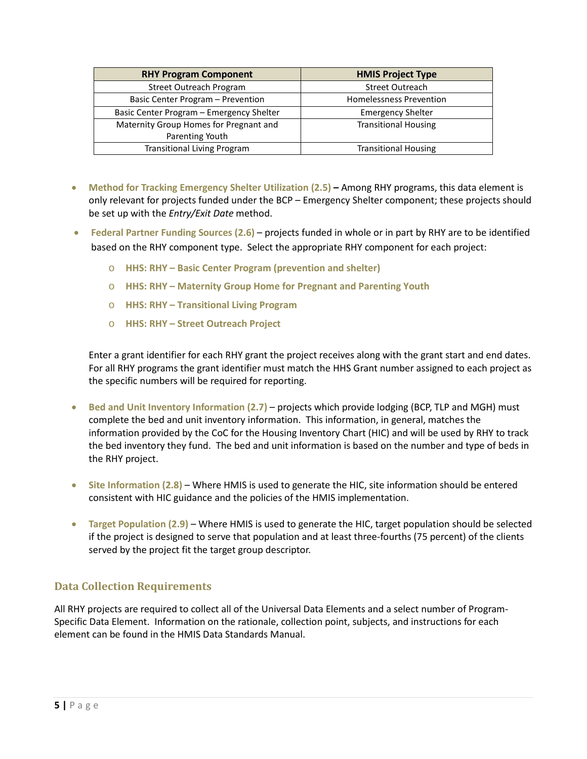| <b>RHY Program Component</b>             | <b>HMIS Project Type</b>       |  |  |
|------------------------------------------|--------------------------------|--|--|
| <b>Street Outreach Program</b>           | Street Outreach                |  |  |
| Basic Center Program - Prevention        | <b>Homelessness Prevention</b> |  |  |
| Basic Center Program - Emergency Shelter | <b>Emergency Shelter</b>       |  |  |
| Maternity Group Homes for Pregnant and   | <b>Transitional Housing</b>    |  |  |
| Parenting Youth                          |                                |  |  |
| <b>Transitional Living Program</b>       | <b>Transitional Housing</b>    |  |  |

- **Method for Tracking Emergency Shelter Utilization (2.5)** Among RHY programs, this data element is only relevant for projects funded under the BCP – Emergency Shelter component; these projects should be set up with the *Entry/Exit Date* method.
- **Federal Partner Funding Sources (2.6)**  projects funded in whole or in part by RHY are to be identified based on the RHY component type. Select the appropriate RHY component for each project:
	- o **HHS: RHY Basic Center Program (prevention and shelter)**
	- o **HHS: RHY Maternity Group Home for Pregnant and Parenting Youth**
	- o **HHS: RHY Transitional Living Program**
	- o **HHS: RHY Street Outreach Project**

Enter a grant identifier for each RHY grant the project receives along with the grant start and end dates. For all RHY programs the grant identifier must match the HHS Grant number assigned to each project as the specific numbers will be required for reporting.

- Bed and Unit Inventory Information (2.7) projects which provide lodging (BCP, TLP and MGH) must complete the bed and unit inventory information. This information, in general, matches the information provided by the CoC for the Housing Inventory Chart (HIC) and will be used by RHY to track the bed inventory they fund. The bed and unit information is based on the number and type of beds in the RHY project.
- **Site Information (2.8)**  Where HMIS is used to generate the HIC, site information should be entered consistent with HIC guidance and the policies of the HMIS implementation.
- **Target Population (2.9)**  Where HMIS is used to generate the HIC, target population should be selected if the project is designed to serve that population and at least three-fourths (75 percent) of the clients served by the project fit the target group descriptor.

#### <span id="page-5-0"></span>**Data Collection Requirements**

All RHY projects are required to collect all of the Universal Data Elements and a select number of Program-Specific Data Element. Information on the rationale, collection point, subjects, and instructions for each element can be found in the [HMIS Data Standards Manual.](https://www.hudexchange.info/resource/3826/hmis-data-standards-manual/)